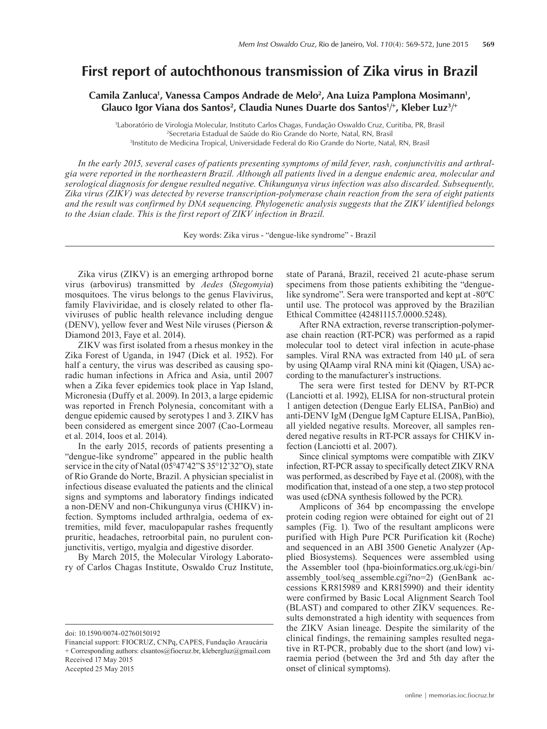## **First report of autochthonous transmission of Zika virus in Brazil**

Camila Zanluca<sup>1</sup>, Vanessa Campos Andrade de Melo<sup>2</sup>, Ana Luiza Pamplona Mosimann<sup>1</sup>, Glauco Igor Viana dos Santos<sup>2</sup>, Claudia Nunes Duarte dos Santos<sup>1/+</sup>, Kleber Luz<sup>3/+</sup>

1 Laboratório de Virologia Molecular, Instituto Carlos Chagas, Fundação Oswaldo Cruz, Curitiba, PR, Brasil 2 Secretaria Estadual de Saúde do Rio Grande do Norte, Natal, RN, Brasil 3 Instituto de Medicina Tropical, Universidade Federal do Rio Grande do Norte, Natal, RN, Brasil

*In the early 2015, several cases of patients presenting symptoms of mild fever, rash, conjunctivitis and arthralgia were reported in the northeastern Brazil. Although all patients lived in a dengue endemic area, molecular and serological diagnosis for dengue resulted negative. Chikungunya virus infection was also discarded. Subsequently, Zika virus (ZIKV) was detected by reverse transcription-polymerase chain reaction from the sera of eight patients and the result was confirmed by DNA sequencing. Phylogenetic analysis suggests that the ZIKV identified belongs to the Asian clade. This is the first report of ZIKV infection in Brazil.*

Key words: Zika virus - "dengue-like syndrome" - Brazil

Zika virus (ZIKV) is an emerging arthropod borne virus (arbovirus) transmitted by *Aedes* (*Stegomyia*) mosquitoes. The virus belongs to the genus Flavivirus, family Flaviviridae, and is closely related to other flaviviruses of public health relevance including dengue (DENV), yellow fever and West Nile viruses (Pierson & Diamond 2013, Faye et al. 2014).

ZIKV was first isolated from a rhesus monkey in the Zika Forest of Uganda, in 1947 (Dick et al. 1952). For half a century, the virus was described as causing sporadic human infections in Africa and Asia, until 2007 when a Zika fever epidemics took place in Yap Island, Micronesia (Duffy et al. 2009). In 2013, a large epidemic was reported in French Polynesia, concomitant with a dengue epidemic caused by serotypes 1 and 3. ZIKV has been considered as emergent since 2007 (Cao-Lormeau et al. 2014, Ioos et al. 2014).

In the early 2015, records of patients presenting a "dengue-like syndrome" appeared in the public health service in the city of Natal (05°47'42"S 35°12'32"O), state of Rio Grande do Norte, Brazil. A physician specialist in infectious disease evaluated the patients and the clinical signs and symptoms and laboratory findings indicated a non-DENV and non-Chikungunya virus (CHIKV) infection. Symptoms included arthralgia, oedema of extremities, mild fever, maculopapular rashes frequently pruritic, headaches, retroorbital pain, no purulent conjunctivitis, vertigo, myalgia and digestive disorder.

By March 2015, the Molecular Virology Laboratory of Carlos Chagas Institute, Oswaldo Cruz Institute,

doi: 10.1590/0074-02760150192

Accepted 25 May 2015

state of Paraná, Brazil, received 21 acute-phase serum specimens from those patients exhibiting the "denguelike syndrome". Sera were transported and kept at -80ºC until use. The protocol was approved by the Brazilian Ethical Committee (42481115.7.0000.5248).

After RNA extraction, reverse transcription-polymerase chain reaction (RT-PCR) was performed as a rapid molecular tool to detect viral infection in acute-phase samples. Viral RNA was extracted from 140 µL of sera by using QIAamp viral RNA mini kit (Qiagen, USA) according to the manufacturer's instructions.

The sera were first tested for DENV by RT-PCR (Lanciotti et al. 1992), ELISA for non-structural protein 1 antigen detection (Dengue Early ELISA, PanBio) and anti-DENV IgM (Dengue IgM Capture ELISA, PanBio), all yielded negative results. Moreover, all samples rendered negative results in RT-PCR assays for CHIKV infection (Lanciotti et al. 2007).

Since clinical symptoms were compatible with ZIKV infection, RT-PCR assay to specifically detect ZIKV RNA was performed, as described by Faye et al. (2008), with the modification that, instead of a one step, a two step protocol was used (cDNA synthesis followed by the PCR).

Amplicons of 364 bp encompassing the envelope protein coding region were obtained for eight out of 21 samples (Fig. 1). Two of the resultant amplicons were purified with High Pure PCR Purification kit (Roche) and sequenced in an ABI 3500 Genetic Analyzer (Applied Biosystems). Sequences were assembled using the Assembler tool (hpa-bioinformatics.org.uk/cgi-bin/ assembly tool/seq\_assemble.cgi?no=2) (GenBank accessions KR815989 and KR815990) and their identity were confirmed by Basic Local Alignment Search Tool (BLAST) and compared to other ZIKV sequences. Results demonstrated a high identity with sequences from the ZIKV Asian lineage. Despite the similarity of the clinical findings, the remaining samples resulted negative in RT-PCR, probably due to the short (and low) viraemia period (between the 3rd and 5th day after the onset of clinical symptoms).

Financial support: FIOCRUZ, CNPq, CAPES, Fundação Araucária + Corresponding authors: clsantos@fiocruz.br, klebergluz@gmail.com Received 17 May 2015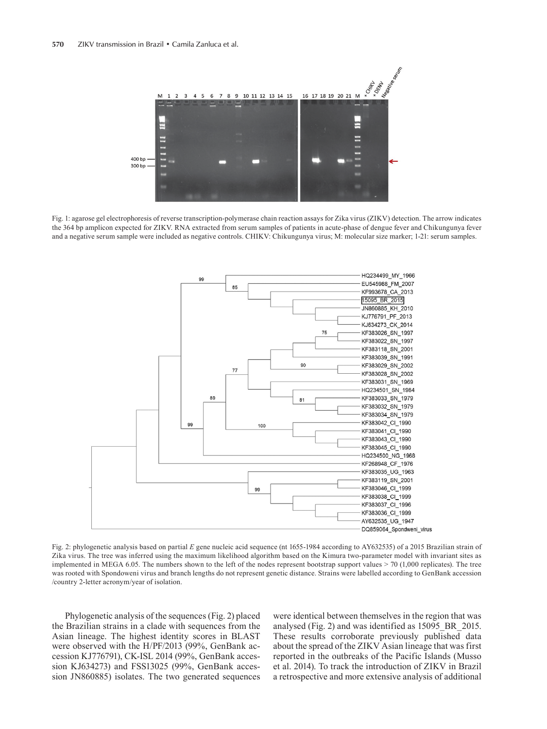

Fig. 1: agarose gel electrophoresis of reverse transcription-polymerase chain reaction assays for Zika virus (ZIKV) detection. The arrow indicates the 364 bp amplicon expected for ZIKV. RNA extracted from serum samples of patients in acute-phase of dengue fever and Chikungunya fever and a negative serum sample were included as negative controls. CHIKV: Chikungunya virus; M: molecular size marker; 1-21: serum samples.



Fig. 2: phylogenetic analysis based on partial *E* gene nucleic acid sequence (nt 1655-1984 according to AY632535) of a 2015 Brazilian strain of Zika virus. The tree was inferred using the maximum likelihood algorithm based on the Kimura two-parameter model with invariant sites as implemented in MEGA 6.05. The numbers shown to the left of the nodes represent bootstrap support values > 70 (1,000 replicates). The tree was rooted with Spondoweni virus and branch lengths do not represent genetic distance. Strains were labelled according to GenBank accession /country 2-letter acronym/year of isolation.

Phylogenetic analysis of the sequences (Fig. 2) placed the Brazilian strains in a clade with sequences from the Asian lineage. The highest identity scores in BLAST were observed with the H/PF/2013 (99%, GenBank accession KJ776791), CK-ISL 2014 (99%, GenBank accession KJ634273) and FSS13025 (99%, GenBank accession JN860885) isolates. The two generated sequences

were identical between themselves in the region that was analysed (Fig. 2) and was identified as 15095\_BR\_2015. These results corroborate previously published data about the spread of the ZIKV Asian lineage that was first reported in the outbreaks of the Pacific Islands (Musso et al. 2014). To track the introduction of ZIKV in Brazil a retrospective and more extensive analysis of additional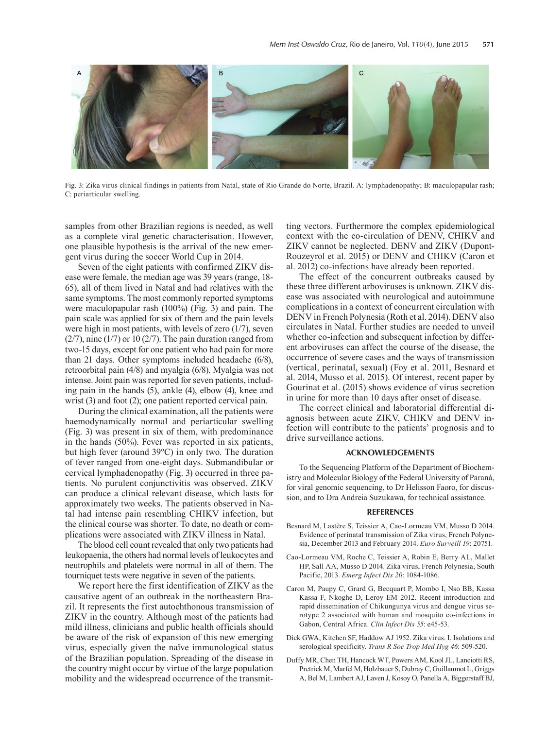

Fig. 3: Zika virus clinical findings in patients from Natal, state of Rio Grande do Norte, Brazil. A: lymphadenopathy; B: maculopapular rash; C: periarticular swelling.

samples from other Brazilian regions is needed, as well as a complete viral genetic characterisation. However, one plausible hypothesis is the arrival of the new emergent virus during the soccer World Cup in 2014.

Seven of the eight patients with confirmed ZIKV disease were female, the median age was 39 years (range, 18- 65), all of them lived in Natal and had relatives with the same symptoms. The most commonly reported symptoms were maculopapular rash (100%) (Fig. 3) and pain. The pain scale was applied for six of them and the pain levels were high in most patients, with levels of zero (1/7), seven  $(2/7)$ , nine  $(1/7)$  or 10  $(2/7)$ . The pain duration ranged from two-15 days, except for one patient who had pain for more than 21 days. Other symptoms included headache (6/8), retroorbital pain (4/8) and myalgia (6/8). Myalgia was not intense. Joint pain was reported for seven patients, including pain in the hands (5), ankle (4), elbow (4), knee and wrist (3) and foot (2); one patient reported cervical pain.

During the clinical examination, all the patients were haemodynamically normal and periarticular swelling (Fig. 3) was present in six of them, with predominance in the hands (50%). Fever was reported in six patients, but high fever (around 39ºC) in only two. The duration of fever ranged from one-eight days. Submandibular or cervical lymphadenopathy (Fig. 3) occurred in three patients. No purulent conjunctivitis was observed. ZIKV can produce a clinical relevant disease, which lasts for approximately two weeks. The patients observed in Natal had intense pain resembling CHIKV infection, but the clinical course was shorter. To date, no death or complications were associated with ZIKV illness in Natal.

The blood cell count revealed that only two patients had leukopaenia, the others had normal levels of leukocytes and neutrophils and platelets were normal in all of them. The tourniquet tests were negative in seven of the patients.

We report here the first identification of ZIKV as the causative agent of an outbreak in the northeastern Brazil. It represents the first autochthonous transmission of ZIKV in the country. Although most of the patients had mild illness, clinicians and public health officials should be aware of the risk of expansion of this new emerging virus, especially given the naïve immunological status of the Brazilian population. Spreading of the disease in the country might occur by virtue of the large population mobility and the widespread occurrence of the transmitting vectors. Furthermore the complex epidemiological context with the co-circulation of DENV, CHIKV and ZIKV cannot be neglected. DENV and ZIKV (Dupont-Rouzeyrol et al. 2015) or DENV and CHIKV (Caron et al. 2012) co-infections have already been reported.

The effect of the concurrent outbreaks caused by these three different arboviruses is unknown. ZIKV disease was associated with neurological and autoimmune complications in a context of concurrent circulation with DENV in French Polynesia (Roth et al. 2014). DENV also circulates in Natal. Further studies are needed to unveil whether co-infection and subsequent infection by different arboviruses can affect the course of the disease, the occurrence of severe cases and the ways of transmission (vertical, perinatal, sexual) (Foy et al. 2011, Besnard et al. 2014, Musso et al. 2015). Of interest, recent paper by Gourinat et al. (2015) shows evidence of virus secretion in urine for more than 10 days after onset of disease.

The correct clinical and laboratorial differential diagnosis between acute ZIKV, CHIKV and DENV infection will contribute to the patients' prognosis and to drive surveillance actions.

## **ACKNOWLEDGEMENTS**

To the Sequencing Platform of the Department of Biochemistry and Molecular Biology of the Federal University of Paraná, for viral genomic sequencing, to Dr Helisson Faoro, for discussion, and to Dra Andreia Suzukawa, for technical assistance.

## **REFERENCES**

- Besnard M, Lastère S, Teissier A, Cao-Lormeau VM, Musso D 2014. Evidence of perinatal transmission of Zika virus, French Polynesia, December 2013 and February 2014. *Euro Surveill 19*: 20751.
- Cao-Lormeau VM, Roche C, Teissier A, Robin E, Berry AL, Mallet HP, Sall AA, Musso D 2014. Zika virus, French Polynesia, South Pacific, 2013. *Emerg Infect Dis 20*: 1084-1086.
- Caron M, Paupy C, Grard G, Becquart P, Mombo I, Nso BB, Kassa Kassa F, Nkoghe D, Leroy EM 2012. Recent introduction and rapid dissemination of Chikungunya virus and dengue virus serotype 2 associated with human and mosquito co-infections in Gabon, Central Africa. *Clin Infect Dis 55*: e45-53.
- Dick GWA, Kitchen SF, Haddow AJ 1952. Zika virus. I. Isolations and serological specificity. *Trans R Soc Trop Med Hyg 46*: 509-520.
- Duffy MR, Chen TH, Hancock WT, Powers AM, Kool JL, Lanciotti RS, Pretrick M, Marfel M, Holzbauer S, Dubray C, Guillaumot L, Griggs A, Bel M, Lambert AJ, Laven J, Kosoy O, Panella A, Biggerstaff BJ,